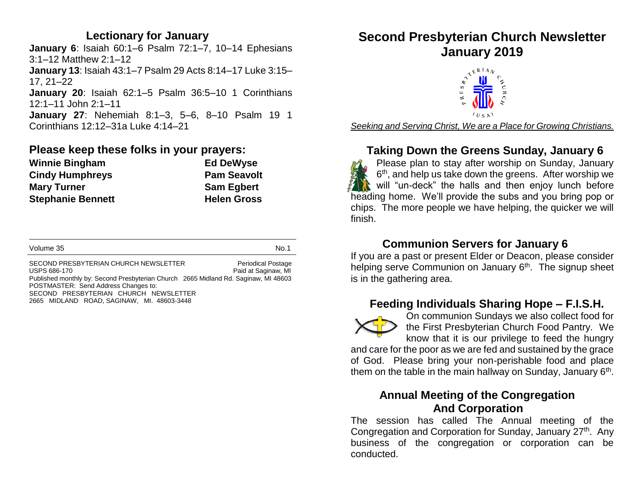## **Lectionary for January**

**January 6**: Isaiah 60:1–6 Psalm 72:1–7, 10–14 Ephesians 3:1–12 Matthew 2:1–12 **January 13**: Isaiah 43:1–7 Psalm 29 Acts 8:14–17 Luke 3:15– 17, 21–22 **January 20**: Isaiah 62:1–5 Psalm 36:5–10 1 Corinthians 12:1–11 John 2:1–11 **January 27**: Nehemiah 8:1–3, 5–6, 8–10 Psalm 19 1 Corinthians 12:12–31a Luke 4:14–21

## **Please keep these folks in your prayers:**

| <b>Winnie Bingham</b>    | <b>Ed DeWyse</b>   |
|--------------------------|--------------------|
| <b>Cindy Humphreys</b>   | <b>Pam Seavolt</b> |
| <b>Mary Turner</b>       | <b>Sam Egbert</b>  |
| <b>Stephanie Bennett</b> | <b>Helen Gross</b> |

SECOND PRESBYTERIAN CHURCH NEWSLETTER Periodical Postage USPS 686-170 **Paid at Saginaw, MI** Published monthly by: Second Presbyterian Church 2665 Midland Rd. Saginaw, MI 48603 POSTMASTER: Send Address Changes to: SECOND PRESBYTERIAN CHURCH NEWSLETTER 2665 MIDLAND ROAD, SAGINAW, MI. 48603-3448

# **Second Presbyterian Church Newsletter January 2019**



*Seeking and Serving Christ, We are a Place for Growing Christians.*

## **Taking Down the Greens Sunday, January 6**

Please plan to stay after worship on Sunday, January 6<sup>th</sup>, and help us take down the greens. After worship we will "un-deck" the halls and then enjoy lunch before heading home. We'll provide the subs and you bring pop or chips. The more people we have helping, the quicker we will finish.

## **Communion Servers for January 6**

If you are a past or present Elder or Deacon, please consider helping serve Communion on January 6<sup>th</sup>. The signup sheet is in the gathering area.

## **Feeding Individuals Sharing Hope – F.I.S.H.**



On communion Sundays we also collect food for the First Presbyterian Church Food Pantry. We know that it is our privilege to feed the hungry

and care for the poor as we are fed and sustained by the grace of God. Please bring your non-perishable food and place them on the table in the main hallway on Sunday, January  $6<sup>th</sup>$ .

## **Annual Meeting of the Congregation And Corporation**

The session has called The Annual meeting of the Congregation and Corporation for Sunday, January 27<sup>th</sup>. Any business of the congregation or corporation can be conducted.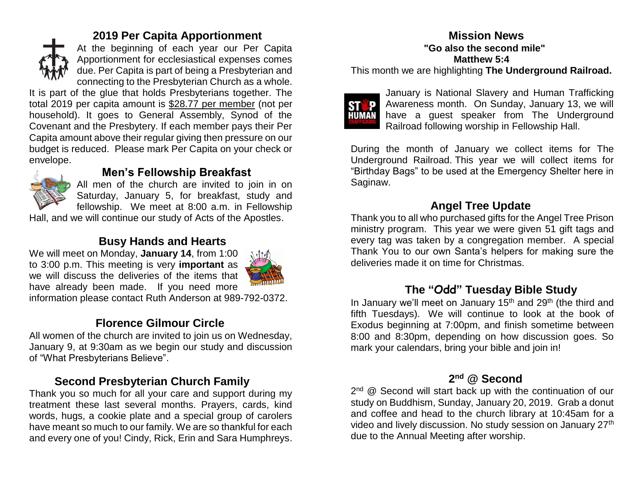

## **2019 Per Capita Apportionment**

At the beginning of each year our Per Capita Apportionment for ecclesiastical expenses comes due. Per Capita is part of being a Presbyterian and connecting to the Presbyterian Church as a whole.

It is part of the glue that holds Presbyterians together. The total 2019 per capita amount is \$28.77 per member (not per household). It goes to General Assembly, Synod of the Covenant and the Presbytery. If each member pays their Per Capita amount above their regular giving then pressure on our budget is reduced. Please mark Per Capita on your check or envelope.

## **Men's Fellowship Breakfast**

All men of the church are invited to join in on Saturday, January 5, for breakfast, study and fellowship. We meet at 8:00 a.m. in Fellowship

Hall, and we will continue our study of Acts of the Apostles.

## **Busy Hands and Hearts**

We will meet on Monday, **January 14**, from 1:00 to 3:00 p.m. This meeting is very **important** as we will discuss the deliveries of the items that have already been made. If you need more



information please contact Ruth Anderson at 989-792-0372.

## **Florence Gilmour Circle**

All women of the church are invited to join us on Wednesday, January 9, at 9:30am as we begin our study and discussion of "What Presbyterians Believe".

## **Second Presbyterian Church Family**

Thank you so much for all your care and support during my treatment these last several months. Prayers, cards, kind words, hugs, a cookie plate and a special group of carolers have meant so much to our family. We are so thankful for each and every one of you! Cindy, Rick, Erin and Sara Humphreys.

## **Mission News "Go also the second mile" Matthew 5:4**

This month we are highlighting **The Underground Railroad.**



January is National Slavery and Human Trafficking Awareness month. On Sunday, January 13, we will have a guest speaker from The Underground Railroad following worship in Fellowship Hall.

During the month of January we collect items for The Underground Railroad. This year we will collect items for "Birthday Bags" to be used at the Emergency Shelter here in Saginaw.

## **Angel Tree Update**

Thank you to all who purchased gifts for the Angel Tree Prison ministry program. This year we were given 51 gift tags and every tag was taken by a congregation member. A special Thank You to our own Santa's helpers for making sure the deliveries made it on time for Christmas.

## **The "Odd" Tuesday Bible Study**

In January we'll meet on January  $15<sup>th</sup>$  and  $29<sup>th</sup>$  (the third and fifth Tuesdays). We will continue to look at the book of Exodus beginning at 7:00pm, and finish sometime between 8:00 and 8:30pm, depending on how discussion goes. So mark your calendars, bring your bible and join in!

### **2 nd @ Second**

2<sup>nd</sup> @ Second will start back up with the continuation of our study on Buddhism, Sunday, January 20, 2019. Grab a donut and coffee and head to the church library at 10:45am for a video and lively discussion. No study session on January 27<sup>th</sup> due to the Annual Meeting after worship.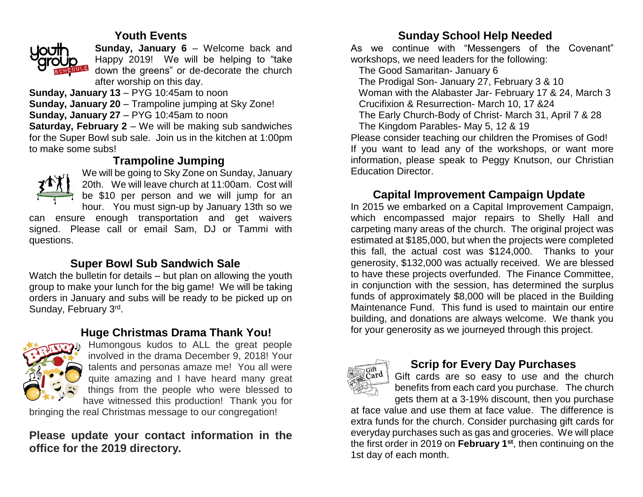## **Youth Events**



**Sunday, January 6** – Welcome back and Happy 2019! We will be helping to "take down the greens" or de-decorate the church after worship on this day.

**Sunday, January 13** – PYG 10:45am to noon **Sunday, January 20** – Trampoline jumping at Sky Zone! **Sunday, January 27** – PYG 10:45am to noon **Saturday, February 2** – We will be making sub sandwiches for the Super Bowl sub sale. Join us in the kitchen at 1:00pm

## **Trampoline Jumping**



to make some subs!

We will be going to Sky Zone on Sunday, January 20th. We will leave church at 11:00am. Cost will be \$10 per person and we will jump for an hour. You must sign-up by January 13th so we

can ensure enough transportation and get waivers signed. Please call or email Sam, DJ or Tammi with questions.

## **Super Bowl Sub Sandwich Sale**

Watch the bulletin for details – but plan on allowing the youth group to make your lunch for the big game! We will be taking orders in January and subs will be ready to be picked up on Sunday, February 3rd.

## **Huge Christmas Drama Thank You!**



Humongous kudos to ALL the great people involved in the drama December 9, 2018! Your talents and personas amaze me! You all were quite amazing and I have heard many great things from the people who were blessed to have witnessed this production! Thank you for

bringing the real Christmas message to our congregation!

## **Please update your contact information in the office for the 2019 directory.**

## **Sunday School Help Needed**

As we continue with "Messengers of the Covenant" workshops, we need leaders for the following:

The Good Samaritan- January 6

The Prodigal Son- January 27, February 3 & 10

Woman with the Alabaster Jar- February 17 & 24, March 3

Crucifixion & Resurrection- March 10, 17 &24

The Early Church-Body of Christ- March 31, April 7 & 28

The Kingdom Parables- May 5, 12 & 19

Please consider teaching our children the Promises of God! If you want to lead any of the workshops, or want more information, please speak to Peggy Knutson, our Christian Education Director.

## **Capital Improvement Campaign Update**

In 2015 we embarked on a Capital Improvement Campaign, which encompassed major repairs to Shelly Hall and carpeting many areas of the church. The original project was estimated at \$185,000, but when the projects were completed this fall, the actual cost was \$124,000. Thanks to your generosity, \$132,000 was actually received. We are blessed to have these projects overfunded. The Finance Committee, in conjunction with the session, has determined the surplus funds of approximately \$8,000 will be placed in the Building Maintenance Fund. This fund is used to maintain our entire building, and donations are always welcome. We thank you for your generosity as we journeyed through this project.



## **Scrip for Every Day Purchases**

Gift cards are so easy to use and the church benefits from each card you purchase. The church gets them at a 3-19% discount, then you purchase

at face value and use them at face value. The difference is extra funds for the church. Consider purchasing gift cards for everyday purchases such as gas and groceries. We will place the first order in 2019 on **February 1st**, then continuing on the 1st day of each month.